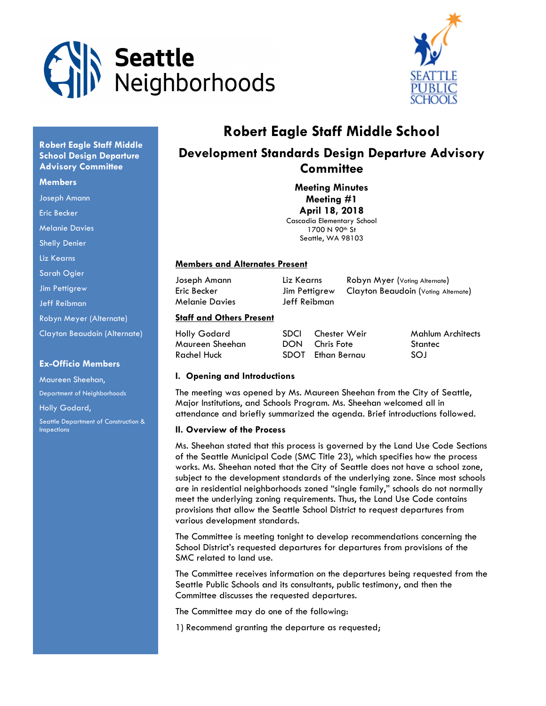



# Robert Eagle Staff Middle School

# Development Standards Design Departure Advisory **Committee**

Meeting Minutes Meeting #1 April 18, 2018 Cascadia Elementary School

1700 N 90<sup>th</sup> St Seattle, WA 98103

#### Members and Alternates Present

Melanie Davies Jeff Reibman

Joseph Amann Liz Kearns Robyn Myer (Voting Alternate) Eric Becker Jim Pettigrew Clayton Beaudoin (Voting Alternate)

#### Staff and Others Present

| Holly Godard    | SDCI Chester Weir | Mahlum Architects |
|-----------------|-------------------|-------------------|
| Maureen Sheehan | DON Chris Fote    | Stantec           |
| Rachel Huck     | SDOT Ethan Bernau | -SOJ              |

#### I. Opening and Introductions

The meeting was opened by Ms. Maureen Sheehan from the City of Seattle, Major Institutions, and Schools Program. Ms. Sheehan welcomed all in attendance and briefly summarized the agenda. Brief introductions followed.

#### II. Overview of the Process

Ms. Sheehan stated that this process is governed by the Land Use Code Sections of the Seattle Municipal Code (SMC Title 23), which specifies how the process works. Ms. Sheehan noted that the City of Seattle does not have a school zone, subject to the development standards of the underlying zone. Since most schools are in residential neighborhoods zoned "single family," schools do not normally meet the underlying zoning requirements. Thus, the Land Use Code contains provisions that allow the Seattle School District to request departures from various development standards.

The Committee is meeting tonight to develop recommendations concerning the School District's requested departures for departures from provisions of the SMC related to land use.

The Committee receives information on the departures being requested from the Seattle Public Schools and its consultants, public testimony, and then the Committee discusses the requested departures.

The Committee may do one of the following:

1) Recommend granting the departure as requested;

Robert Eagle Staff Middle School Design Departure **Advisory Committee** 

#### **Members**

Joseph Amann

Eric Becker

Melanie Davies

Shelly Denier

Liz Kearns

Sarah Ogier

Jim Pettigrew

Jeff Reibman

Robyn Meyer (Alternate)

Clayton Beaudoin (Alternate)

#### Ex-Officio Members

Maureen Sheehan, Department of Neighborhoods Holly Godard,

Seattle Department of Construction & Inspections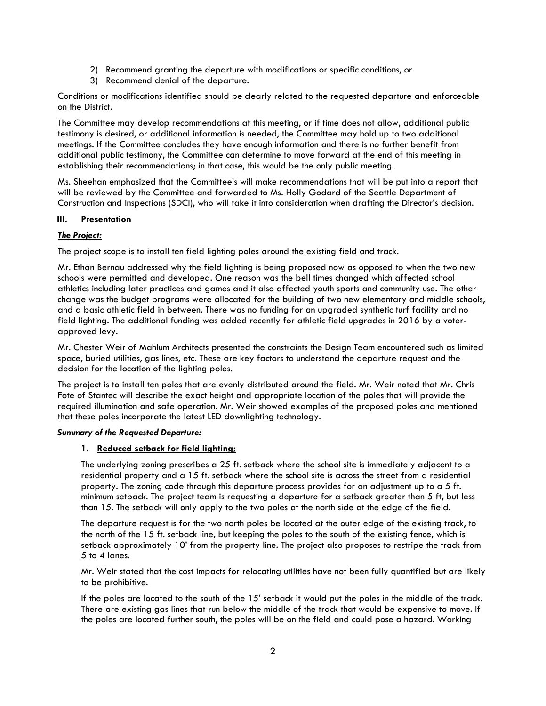- 2) Recommend granting the departure with modifications or specific conditions, or
- 3) Recommend denial of the departure.

Conditions or modifications identified should be clearly related to the requested departure and enforceable on the District.

The Committee may develop recommendations at this meeting, or if time does not allow, additional public testimony is desired, or additional information is needed, the Committee may hold up to two additional meetings. If the Committee concludes they have enough information and there is no further benefit from additional public testimony, the Committee can determine to move forward at the end of this meeting in establishing their recommendations; in that case, this would be the only public meeting.

Ms. Sheehan emphasized that the Committee's will make recommendations that will be put into a report that will be reviewed by the Committee and forwarded to Ms. Holly Godard of the Seattle Department of Construction and Inspections (SDCI), who will take it into consideration when drafting the Director's decision.

#### III. Presentation

#### The Project:

The project scope is to install ten field lighting poles around the existing field and track.

Mr. Ethan Bernau addressed why the field lighting is being proposed now as opposed to when the two new schools were permitted and developed. One reason was the bell times changed which affected school athletics including later practices and games and it also affected youth sports and community use. The other change was the budget programs were allocated for the building of two new elementary and middle schools, and a basic athletic field in between. There was no funding for an upgraded synthetic turf facility and no field lighting. The additional funding was added recently for athletic field upgrades in 2016 by a voterapproved levy.

Mr. Chester Weir of Mahlum Architects presented the constraints the Design Team encountered such as limited space, buried utilities, gas lines, etc. These are key factors to understand the departure request and the decision for the location of the lighting poles.

The project is to install ten poles that are evenly distributed around the field. Mr. Weir noted that Mr. Chris Fote of Stantec will describe the exact height and appropriate location of the poles that will provide the required illumination and safe operation. Mr. Weir showed examples of the proposed poles and mentioned that these poles incorporate the latest LED downlighting technology.

#### Summary of the Requested Departure:

#### 1. Reduced setback for field lighting;

The underlying zoning prescribes a 25 ft. setback where the school site is immediately adjacent to a residential property and a 15 ft. setback where the school site is across the street from a residential property. The zoning code through this departure process provides for an adjustment up to a 5 ft. minimum setback. The project team is requesting a departure for a setback greater than 5 ft, but less than 15. The setback will only apply to the two poles at the north side at the edge of the field.

The departure request is for the two north poles be located at the outer edge of the existing track, to the north of the 15 ft. setback line, but keeping the poles to the south of the existing fence, which is setback approximately 10' from the property line. The project also proposes to restripe the track from 5 to 4 lanes.

Mr. Weir stated that the cost impacts for relocating utilities have not been fully quantified but are likely to be prohibitive.

If the poles are located to the south of the 15' setback it would put the poles in the middle of the track. There are existing gas lines that run below the middle of the track that would be expensive to move. If the poles are located further south, the poles will be on the field and could pose a hazard. Working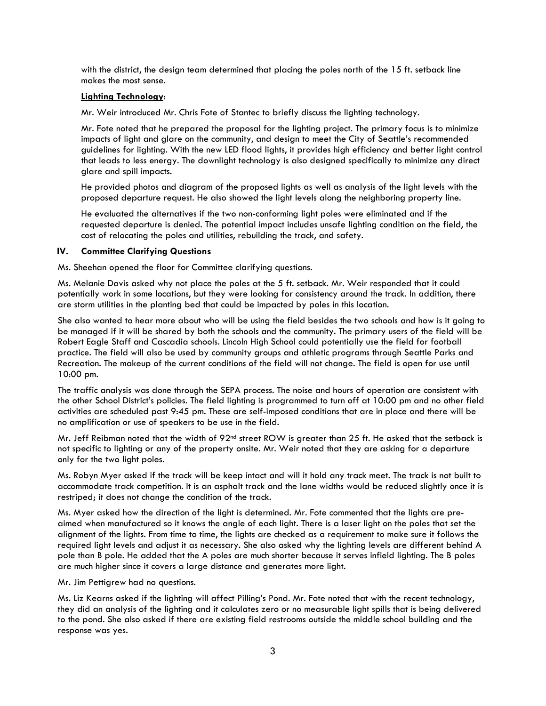with the district, the design team determined that placing the poles north of the 15 ft. setback line makes the most sense.

#### Lighting Technology:

Mr. Weir introduced Mr. Chris Fote of Stantec to briefly discuss the lighting technology.

Mr. Fote noted that he prepared the proposal for the lighting project. The primary focus is to minimize impacts of light and glare on the community, and design to meet the City of Seattle's recommended guidelines for lighting. With the new LED flood lights, it provides high efficiency and better light control that leads to less energy. The downlight technology is also designed specifically to minimize any direct glare and spill impacts.

He provided photos and diagram of the proposed lights as well as analysis of the light levels with the proposed departure request. He also showed the light levels along the neighboring property line.

He evaluated the alternatives if the two non-conforming light poles were eliminated and if the requested departure is denied. The potential impact includes unsafe lighting condition on the field, the cost of relocating the poles and utilities, rebuilding the track, and safety.

#### IV. Committee Clarifying Questions

Ms. Sheehan opened the floor for Committee clarifying questions.

Ms. Melanie Davis asked why not place the poles at the 5 ft. setback. Mr. Weir responded that it could potentially work in some locations, but they were looking for consistency around the track. In addition, there are storm utilities in the planting bed that could be impacted by poles in this location.

She also wanted to hear more about who will be using the field besides the two schools and how is it going to be managed if it will be shared by both the schools and the community. The primary users of the field will be Robert Eagle Staff and Cascadia schools. Lincoln High School could potentially use the field for football practice. The field will also be used by community groups and athletic programs through Seattle Parks and Recreation. The makeup of the current conditions of the field will not change. The field is open for use until 10:00 pm.

The traffic analysis was done through the SEPA process. The noise and hours of operation are consistent with the other School District's policies. The field lighting is programmed to turn off at 10:00 pm and no other field activities are scheduled past 9:45 pm. These are self-imposed conditions that are in place and there will be no amplification or use of speakers to be use in the field.

Mr. Jeff Reibman noted that the width of  $92<sup>nd</sup>$  street ROW is greater than 25 ft. He asked that the setback is not specific to lighting or any of the property onsite. Mr. Weir noted that they are asking for a departure only for the two light poles.

Ms. Robyn Myer asked if the track will be keep intact and will it hold any track meet. The track is not built to accommodate track competition. It is an asphalt track and the lane widths would be reduced slightly once it is restriped; it does not change the condition of the track.

Ms. Myer asked how the direction of the light is determined. Mr. Fote commented that the lights are preaimed when manufactured so it knows the angle of each light. There is a laser light on the poles that set the alignment of the lights. From time to time, the lights are checked as a requirement to make sure it follows the required light levels and adjust it as necessary. She also asked why the lighting levels are different behind A pole than B pole. He added that the A poles are much shorter because it serves infield lighting. The B poles are much higher since it covers a large distance and generates more light.

Mr. Jim Pettigrew had no questions.

Ms. Liz Kearns asked if the lighting will affect Pilling's Pond. Mr. Fote noted that with the recent technology, they did an analysis of the lighting and it calculates zero or no measurable light spills that is being delivered to the pond. She also asked if there are existing field restrooms outside the middle school building and the response was yes.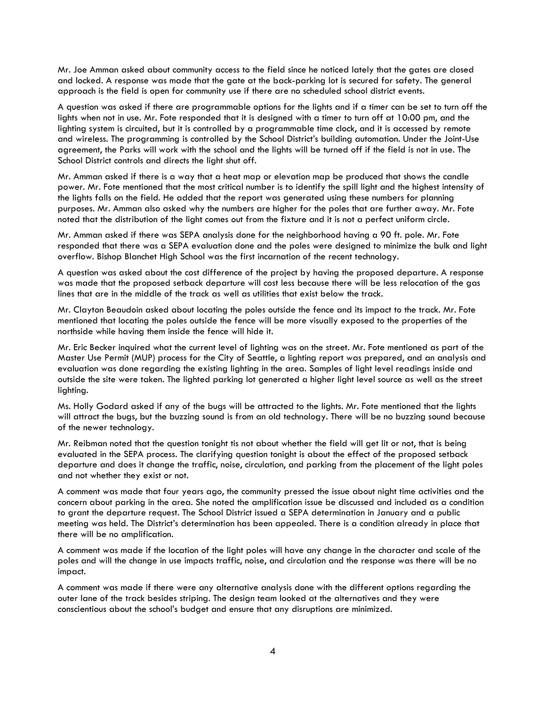Mr. Joe Amman asked about community access to the field since he noticed lately that the gates are closed and locked. A response was made that the gate at the back-parking lot is secured for safety. The general approach is the field is open for community use if there are no scheduled school district events.

A question was asked if there are programmable options for the lights and if a timer can be set to turn off the lights when not in use. Mr. Fote responded that it is designed with a timer to turn off at 10:00 pm, and the lighting system is circuited, but it is controlled by a programmable time clock, and it is accessed by remote and wireless. The programming is controlled by the School District's building automation. Under the Joint-Use agreement, the Parks will work with the school and the lights will be turned off if the field is not in use. The School District controls and directs the light shut off.

Mr. Amman asked if there is a way that a heat map or elevation map be produced that shows the candle power. Mr. Fote mentioned that the most critical number is to identify the spill light and the highest intensity of the lights falls on the field. He added that the report was generated using these numbers for planning purposes. Mr. Amman also asked why the numbers are higher for the poles that are further away. Mr. Fote noted that the distribution of the light comes out from the fixture and it is not a perfect uniform circle.

Mr. Amman asked if there was SEPA analysis done for the neighborhood having a 90 ft. pole. Mr. Fote responded that there was a SEPA evaluation done and the poles were designed to minimize the bulk and light overflow. Bishop Blanchet High School was the first incarnation of the recent technology.

A question was asked about the cost difference of the project by having the proposed departure. A response was made that the proposed setback departure will cost less because there will be less relocation of the gas lines that are in the middle of the track as well as utilities that exist below the track.

Mr. Clayton Beaudoin asked about locating the poles outside the fence and its impact to the track. Mr. Fote mentioned that locating the poles outside the fence will be more visually exposed to the properties of the northside while having them inside the fence will hide it.

Mr. Eric Becker inquired what the current level of lighting was on the street. Mr. Fote mentioned as part of the Master Use Permit (MUP) process for the City of Seattle, a lighting report was prepared, and an analysis and evaluation was done regarding the existing lighting in the area. Samples of light level readings inside and outside the site were taken. The lighted parking lot generated a higher light level source as well as the street lighting.

Ms. Holly Godard asked if any of the bugs will be attracted to the lights. Mr. Fote mentioned that the lights will attract the bugs, but the buzzing sound is from an old technology. There will be no buzzing sound because of the newer technology.

Mr. Reibman noted that the question tonight tis not about whether the field will get lit or not, that is being evaluated in the SEPA process. The clarifying question tonight is about the effect of the proposed setback departure and does it change the traffic, noise, circulation, and parking from the placement of the light poles and not whether they exist or not.

A comment was made that four years ago, the community pressed the issue about night time activities and the concern about parking in the area. She noted the amplification issue be discussed and included as a condition to grant the departure request. The School District issued a SEPA determination in January and a public meeting was held. The District's determination has been appealed. There is a condition already in place that there will be no amplification.

A comment was made if the location of the light poles will have any change in the character and scale of the poles and will the change in use impacts traffic, noise, and circulation and the response was there will be no impact.

A comment was made if there were any alternative analysis done with the different options regarding the outer lane of the track besides striping. The design team looked at the alternatives and they were conscientious about the school's budget and ensure that any disruptions are minimized.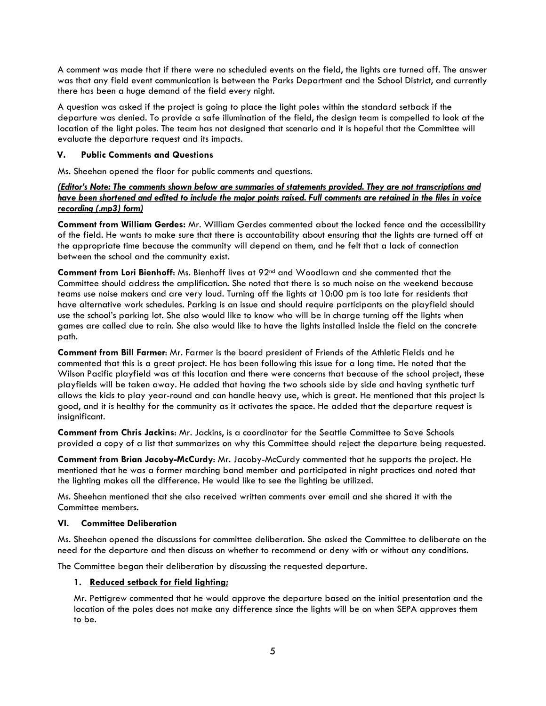A comment was made that if there were no scheduled events on the field, the lights are turned off. The answer was that any field event communication is between the Parks Department and the School District, and currently there has been a huge demand of the field every night.

A question was asked if the project is going to place the light poles within the standard setback if the departure was denied. To provide a safe illumination of the field, the design team is compelled to look at the location of the light poles. The team has not designed that scenario and it is hopeful that the Committee will evaluate the departure request and its impacts.

#### V. Public Comments and Questions

Ms. Sheehan opened the floor for public comments and questions.

### (Editor's Note: The comments shown below are summaries of statements provided. They are not transcriptions and have been shortened and edited to include the major points raised. Full comments are retained in the files in voice recording (.mp3) form)

Comment from William Gerdes: Mr. William Gerdes commented about the locked fence and the accessibility of the field. He wants to make sure that there is accountability about ensuring that the lights are turned off at the appropriate time because the community will depend on them, and he felt that a lack of connection between the school and the community exist.

Comment from Lori Bienhoff: Ms. Bienhoff lives at 92<sup>nd</sup> and Woodlawn and she commented that the Committee should address the amplification. She noted that there is so much noise on the weekend because teams use noise makers and are very loud. Turning off the lights at 10:00 pm is too late for residents that have alternative work schedules. Parking is an issue and should require participants on the playfield should use the school's parking lot. She also would like to know who will be in charge turning off the lights when games are called due to rain. She also would like to have the lights installed inside the field on the concrete path.

Comment from Bill Farmer: Mr. Farmer is the board president of Friends of the Athletic Fields and he commented that this is a great project. He has been following this issue for a long time. He noted that the Wilson Pacific playfield was at this location and there were concerns that because of the school project, these playfields will be taken away. He added that having the two schools side by side and having synthetic turf allows the kids to play year-round and can handle heavy use, which is great. He mentioned that this project is good, and it is healthy for the community as it activates the space. He added that the departure request is insignificant.

Comment from Chris Jackins: Mr. Jackins, is a coordinator for the Seattle Committee to Save Schools provided a copy of a list that summarizes on why this Committee should reject the departure being requested.

Comment from Brian Jacoby-McCurdy: Mr. Jacoby-McCurdy commented that he supports the project. He mentioned that he was a former marching band member and participated in night practices and noted that the lighting makes all the difference. He would like to see the lighting be utilized.

Ms. Sheehan mentioned that she also received written comments over email and she shared it with the Committee members.

## VI. Committee Deliberation

Ms. Sheehan opened the discussions for committee deliberation. She asked the Committee to deliberate on the need for the departure and then discuss on whether to recommend or deny with or without any conditions.

The Committee began their deliberation by discussing the requested departure.

#### 1. Reduced setback for field lighting;

Mr. Pettigrew commented that he would approve the departure based on the initial presentation and the location of the poles does not make any difference since the lights will be on when SEPA approves them to be.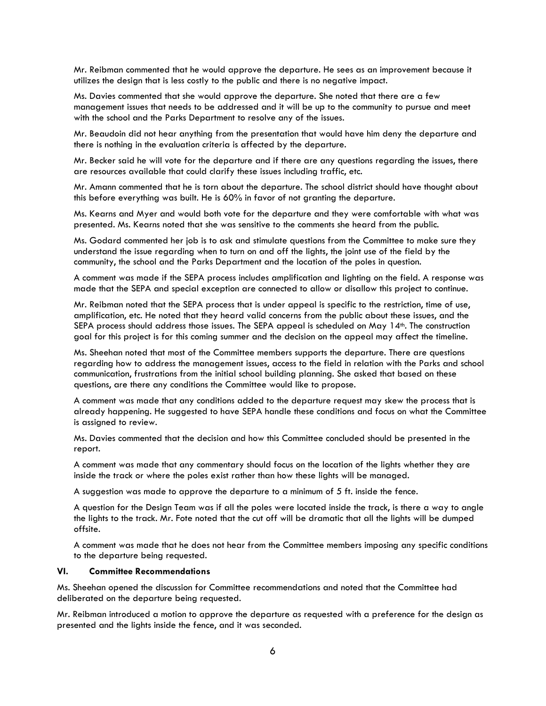Mr. Reibman commented that he would approve the departure. He sees as an improvement because it utilizes the design that is less costly to the public and there is no negative impact.

Ms. Davies commented that she would approve the departure. She noted that there are a few management issues that needs to be addressed and it will be up to the community to pursue and meet with the school and the Parks Department to resolve any of the issues.

Mr. Beaudoin did not hear anything from the presentation that would have him deny the departure and there is nothing in the evaluation criteria is affected by the departure.

Mr. Becker said he will vote for the departure and if there are any questions regarding the issues, there are resources available that could clarify these issues including traffic, etc.

Mr. Amann commented that he is torn about the departure. The school district should have thought about this before everything was built. He is 60% in favor of not granting the departure.

Ms. Kearns and Myer and would both vote for the departure and they were comfortable with what was presented. Ms. Kearns noted that she was sensitive to the comments she heard from the public.

Ms. Godard commented her job is to ask and stimulate questions from the Committee to make sure they understand the issue regarding when to turn on and off the lights, the joint use of the field by the community, the school and the Parks Department and the location of the poles in question.

A comment was made if the SEPA process includes amplification and lighting on the field. A response was made that the SEPA and special exception are connected to allow or disallow this project to continue.

Mr. Reibman noted that the SEPA process that is under appeal is specific to the restriction, time of use, amplification, etc. He noted that they heard valid concerns from the public about these issues, and the SEPA process should address those issues. The SEPA appeal is scheduled on May 14<sup>th</sup>. The construction goal for this project is for this coming summer and the decision on the appeal may affect the timeline.

Ms. Sheehan noted that most of the Committee members supports the departure. There are questions regarding how to address the management issues, access to the field in relation with the Parks and school communication, frustrations from the initial school building planning. She asked that based on these questions, are there any conditions the Committee would like to propose.

A comment was made that any conditions added to the departure request may skew the process that is already happening. He suggested to have SEPA handle these conditions and focus on what the Committee is assigned to review.

Ms. Davies commented that the decision and how this Committee concluded should be presented in the report.

A comment was made that any commentary should focus on the location of the lights whether they are inside the track or where the poles exist rather than how these lights will be managed.

A suggestion was made to approve the departure to a minimum of 5 ft. inside the fence.

A question for the Design Team was if all the poles were located inside the track, is there a way to angle the lights to the track. Mr. Fote noted that the cut off will be dramatic that all the lights will be dumped offsite.

A comment was made that he does not hear from the Committee members imposing any specific conditions to the departure being requested.

#### VI. Committee Recommendations

Ms. Sheehan opened the discussion for Committee recommendations and noted that the Committee had deliberated on the departure being requested.

Mr. Reibman introduced a motion to approve the departure as requested with a preference for the design as presented and the lights inside the fence, and it was seconded.